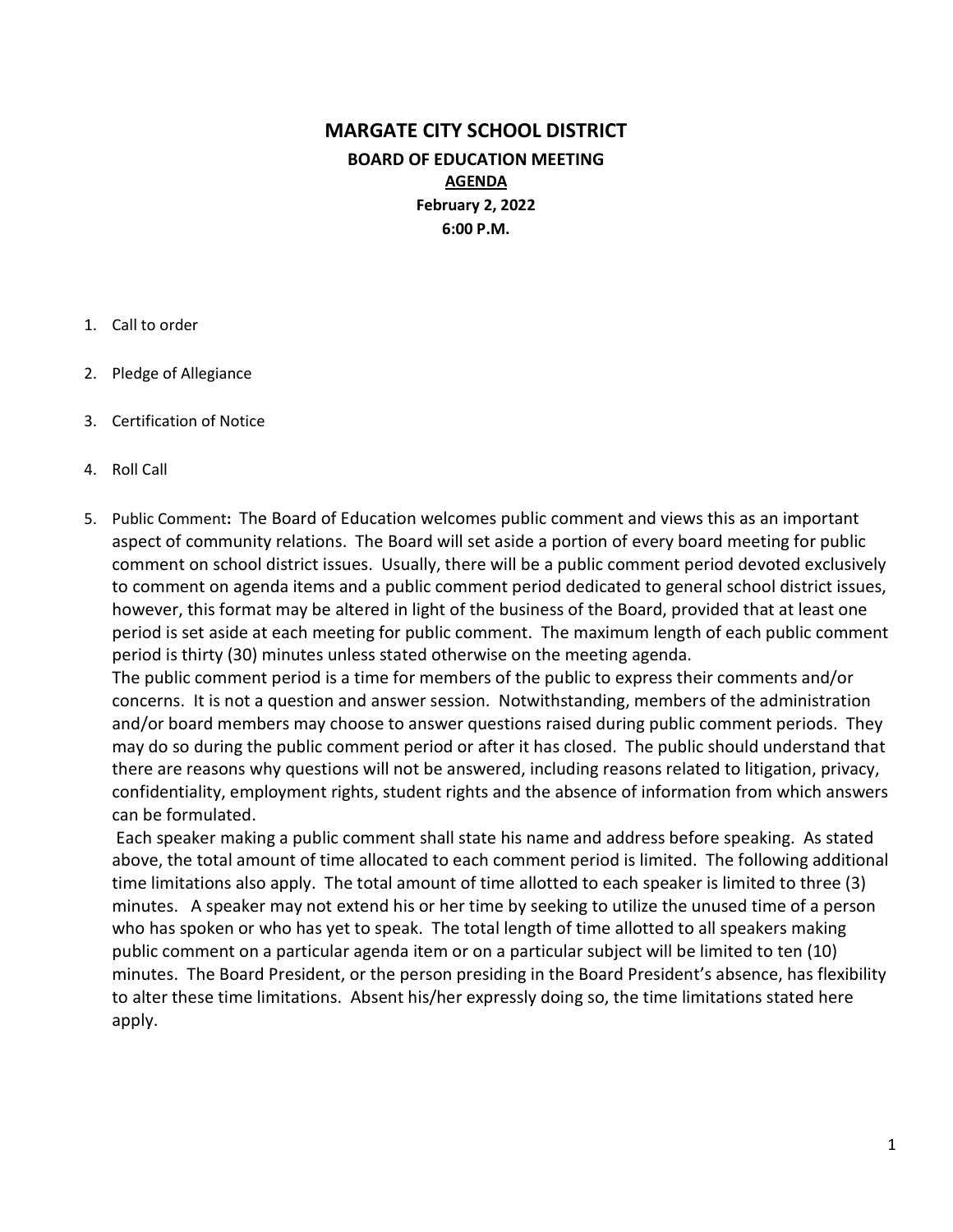# MARGATE CITY SCHOOL DISTRICT BOARD OF EDUCATION MEETING AGENDA February 2, 2022 6:00 P.M.

#### 1. Call to order

- 2. Pledge of Allegiance
- 3. Certification of Notice
- 4. Roll Call
- 5. Public Comment: The Board of Education welcomes public comment and views this as an important aspect of community relations. The Board will set aside a portion of every board meeting for public comment on school district issues. Usually, there will be a public comment period devoted exclusively to comment on agenda items and a public comment period dedicated to general school district issues, however, this format may be altered in light of the business of the Board, provided that at least one period is set aside at each meeting for public comment. The maximum length of each public comment period is thirty (30) minutes unless stated otherwise on the meeting agenda.

The public comment period is a time for members of the public to express their comments and/or concerns. It is not a question and answer session. Notwithstanding, members of the administration and/or board members may choose to answer questions raised during public comment periods. They may do so during the public comment period or after it has closed. The public should understand that there are reasons why questions will not be answered, including reasons related to litigation, privacy, confidentiality, employment rights, student rights and the absence of information from which answers can be formulated.

 Each speaker making a public comment shall state his name and address before speaking. As stated above, the total amount of time allocated to each comment period is limited. The following additional time limitations also apply. The total amount of time allotted to each speaker is limited to three (3) minutes. A speaker may not extend his or her time by seeking to utilize the unused time of a person who has spoken or who has yet to speak. The total length of time allotted to all speakers making public comment on a particular agenda item or on a particular subject will be limited to ten (10) minutes. The Board President, or the person presiding in the Board President's absence, has flexibility to alter these time limitations. Absent his/her expressly doing so, the time limitations stated here apply.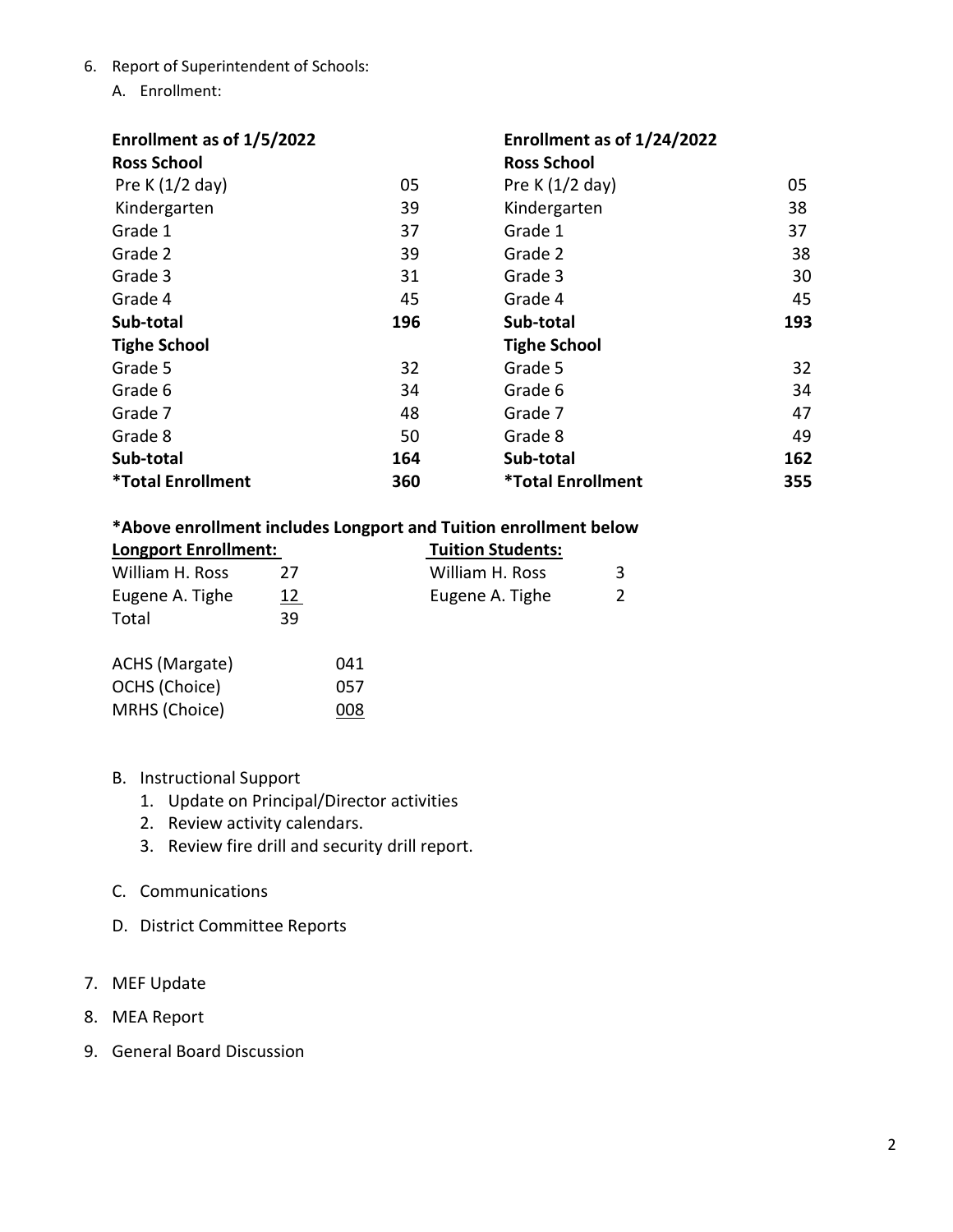- 6. Report of Superintendent of Schools:
	- A. Enrollment:

| Enrollment as of 1/5/2022       |     | Enrollment as of 1/24/2022 |     |
|---------------------------------|-----|----------------------------|-----|
| <b>Ross School</b>              |     | <b>Ross School</b>         |     |
| Pre K $(1/2$ day)               | 05  | Pre K $(1/2$ day)          | 05  |
| Kindergarten                    | 39  | Kindergarten               | 38  |
| Grade 1                         | 37  | Grade 1                    | 37  |
| Grade 2                         | 39  | Grade 2                    | 38  |
| Grade 3                         | 31  | Grade 3                    | 30  |
| Grade 4                         | 45  | Grade 4                    | 45  |
| Sub-total                       | 196 | Sub-total                  | 193 |
| <b>Tighe School</b>             |     | <b>Tighe School</b>        |     |
| Grade 5                         | 32  | Grade 5                    | 32  |
| Grade 6                         | 34  | Grade 6                    | 34  |
| Grade 7                         | 48  | Grade 7                    | 47  |
| Grade 8                         | 50  | Grade 8                    | 49  |
| Sub-total                       | 164 | Sub-total                  | 162 |
| <i><b>*Total Enrollment</b></i> | 360 | <b>*Total Enrollment</b>   | 355 |

## \*Above enrollment includes Longport and Tuition enrollment below

| <b>Longport Enrollment:</b> |    |     | <b>Tuition Students:</b> |  |
|-----------------------------|----|-----|--------------------------|--|
| William H. Ross             | 27 |     | William H. Ross          |  |
| Eugene A. Tighe             | 12 |     | Eugene A. Tighe          |  |
| Total                       | 39 |     |                          |  |
| ACHS (Margate)              |    | 041 |                          |  |
| OCHS (Choice)               |    | 057 |                          |  |
| MRHS (Choice)               |    | 008 |                          |  |
|                             |    |     |                          |  |

- B. Instructional Support
	- 1. Update on Principal/Director activities
	- 2. Review activity calendars.
	- 3. Review fire drill and security drill report.
- C. Communications
- D. District Committee Reports
- 7. MEF Update
- 8. MEA Report
- 9. General Board Discussion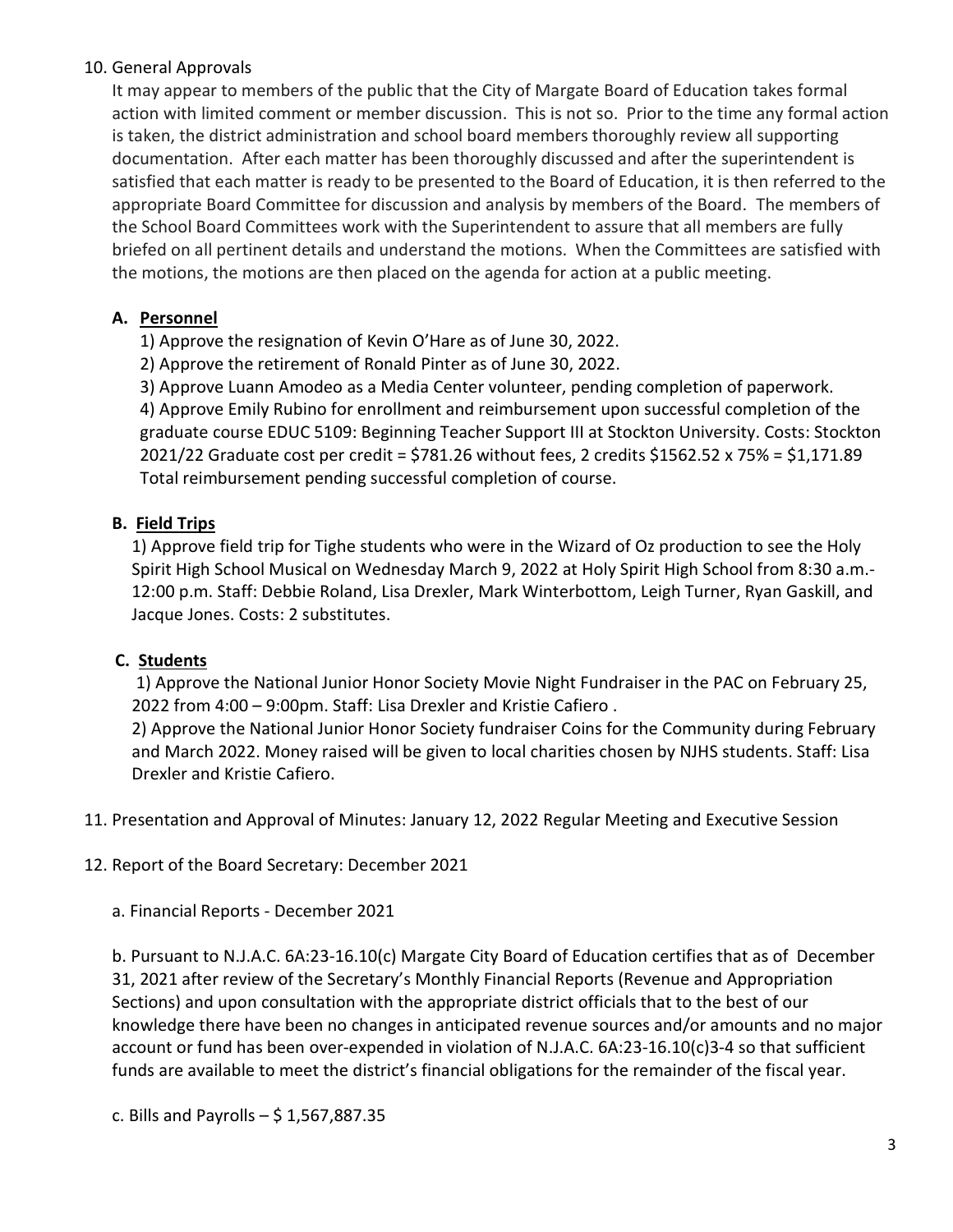### 10. General Approvals

It may appear to members of the public that the City of Margate Board of Education takes formal action with limited comment or member discussion. This is not so. Prior to the time any formal action is taken, the district administration and school board members thoroughly review all supporting documentation. After each matter has been thoroughly discussed and after the superintendent is satisfied that each matter is ready to be presented to the Board of Education, it is then referred to the appropriate Board Committee for discussion and analysis by members of the Board. The members of the School Board Committees work with the Superintendent to assure that all members are fully briefed on all pertinent details and understand the motions. When the Committees are satisfied with the motions, the motions are then placed on the agenda for action at a public meeting.

## A. Personnel

1) Approve the resignation of Kevin O'Hare as of June 30, 2022.

2) Approve the retirement of Ronald Pinter as of June 30, 2022.

3) Approve Luann Amodeo as a Media Center volunteer, pending completion of paperwork. 4) Approve Emily Rubino for enrollment and reimbursement upon successful completion of the graduate course EDUC 5109: Beginning Teacher Support III at Stockton University. Costs: Stockton 2021/22 Graduate cost per credit = \$781.26 without fees, 2 credits \$1562.52 x 75% = \$1,171.89 Total reimbursement pending successful completion of course.

## B. Field Trips

1) Approve field trip for Tighe students who were in the Wizard of Oz production to see the Holy Spirit High School Musical on Wednesday March 9, 2022 at Holy Spirit High School from 8:30 a.m.- 12:00 p.m. Staff: Debbie Roland, Lisa Drexler, Mark Winterbottom, Leigh Turner, Ryan Gaskill, and Jacque Jones. Costs: 2 substitutes.

### C. Students

 1) Approve the National Junior Honor Society Movie Night Fundraiser in the PAC on February 25, 2022 from 4:00 – 9:00pm. Staff: Lisa Drexler and Kristie Cafiero .

2) Approve the National Junior Honor Society fundraiser Coins for the Community during February and March 2022. Money raised will be given to local charities chosen by NJHS students. Staff: Lisa Drexler and Kristie Cafiero.

11. Presentation and Approval of Minutes: January 12, 2022 Regular Meeting and Executive Session

12. Report of the Board Secretary: December 2021

a. Financial Reports - December 2021

b. Pursuant to N.J.A.C. 6A:23-16.10(c) Margate City Board of Education certifies that as of December 31, 2021 after review of the Secretary's Monthly Financial Reports (Revenue and Appropriation Sections) and upon consultation with the appropriate district officials that to the best of our knowledge there have been no changes in anticipated revenue sources and/or amounts and no major account or fund has been over-expended in violation of N.J.A.C. 6A:23-16.10(c)3-4 so that sufficient funds are available to meet the district's financial obligations for the remainder of the fiscal year.